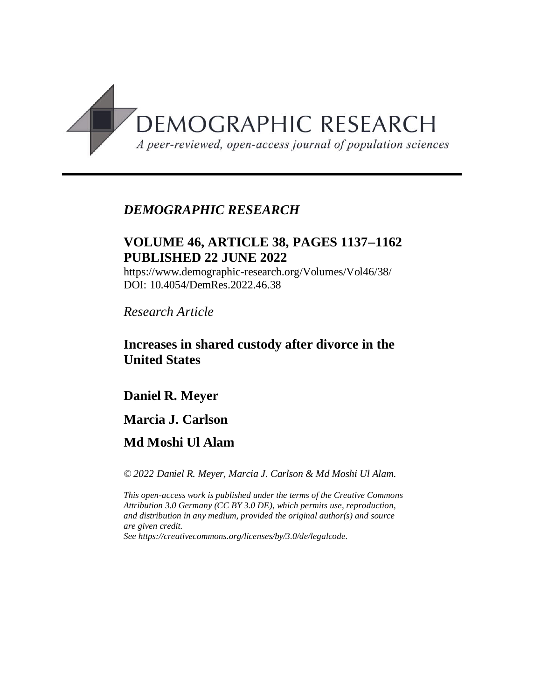

# *DEMOGRAPHIC RESEARCH*

# **VOLUME 46, ARTICLE 38, PAGES 11371162 PUBLISHED 22 JUNE 2022**

https://www.demographic-research.org/Volumes/Vol46/38/ DOI: 10.4054/DemRes.2022.46.38

*Research Article*

# **Increases in shared custody after divorce in the United States**

# **Daniel R. Meyer**

## **Marcia J. Carlson**

# **Md Moshi Ul Alam**

*© 2022 Daniel R. Meyer, Marcia J. Carlson & Md Moshi Ul Alam.*

*This open-access work is published under the terms of the Creative Commons Attribution 3.0 Germany (CC BY 3.0 DE), which permits use, reproduction, and distribution in any medium, provided the original author(s) and source are given credit.*

*See [https://creativecommons.org/licenses/by/3.0/de/legalcode.](https://creativecommons.org/licenses/by/3.0/de/legalcode)*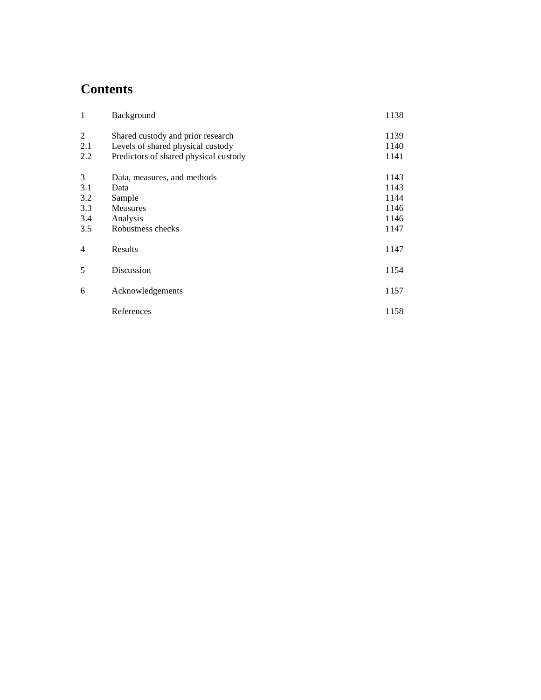# **Contents**

| $\mathbf{1}$   | Background                            | 1138 |
|----------------|---------------------------------------|------|
| 2              | Shared custody and prior research     | 1139 |
| 2.1            | Levels of shared physical custody     | 1140 |
| 2.2            | Predictors of shared physical custody | 1141 |
| 3              | Data, measures, and methods           | 1143 |
| 3.1            | Data                                  | 1143 |
| 3.2            | Sample                                | 1144 |
| 3.3            | Measures                              | 1146 |
| 3.4            | Analysis                              | 1146 |
| 3.5            | Robustness checks                     | 1147 |
| $\overline{4}$ | Results                               | 1147 |
| 5              | Discussion                            | 1154 |
| 6              | Acknowledgements                      | 1157 |
|                | References                            | 1158 |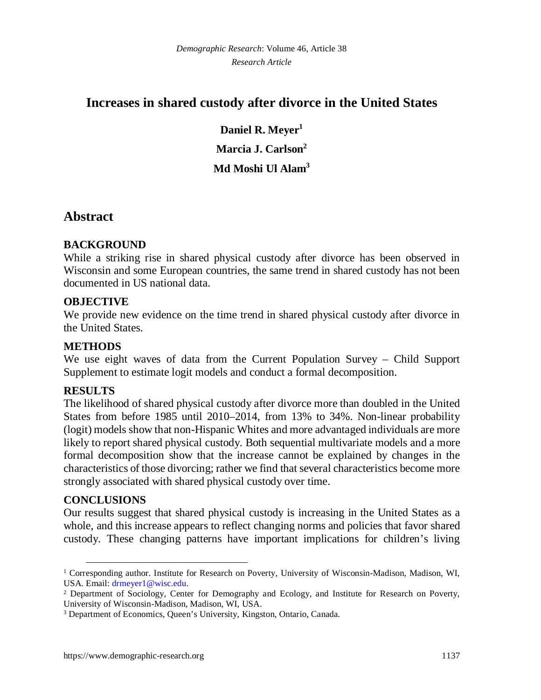# **Increases in shared custody after divorce in the United States**

**Daniel R. Meyer[1](#page-2-0) Marcia J. Carlson[2](#page-2-1) Md Moshi Ul Alam[3](#page-2-2)**

# **Abstract**

## **BACKGROUND**

While a striking rise in shared physical custody after divorce has been observed in Wisconsin and some European countries, the same trend in shared custody has not been documented in US national data.

## **OBJECTIVE**

We provide new evidence on the time trend in shared physical custody after divorce in the United States.

## **METHODS**

We use eight waves of data from the Current Population Survey – Child Support Supplement to estimate logit models and conduct a formal decomposition.

### **RESULTS**

The likelihood of shared physical custody after divorce more than doubled in the United States from before 1985 until 2010–2014, from 13% to 34%. Non-linear probability (logit) models show that non-Hispanic Whites and more advantaged individuals are more likely to report shared physical custody. Both sequential multivariate models and a more formal decomposition show that the increase cannot be explained by changes in the characteristics of those divorcing; rather we find that several characteristics become more strongly associated with shared physical custody over time.

### **CONCLUSIONS**

Our results suggest that shared physical custody is increasing in the United States as a whole, and this increase appears to reflect changing norms and policies that favor shared custody. These changing patterns have important implications for children's living

<span id="page-2-0"></span><sup>&</sup>lt;sup>1</sup> Corresponding author. Institute for Research on Poverty, University of Wisconsin-Madison, Madison, WI, USA. Email: [drmeyer1@wisc.edu](mailto:drmeyer1@wisc.edu).

<span id="page-2-1"></span><sup>&</sup>lt;sup>2</sup> Department of Sociology, Center for Demography and Ecology, and Institute for Research on Poverty, University of Wisconsin-Madison, Madison, WI, USA.

<span id="page-2-2"></span><sup>&</sup>lt;sup>3</sup> Department of Economics, Queen's University, Kingston, Ontario, Canada.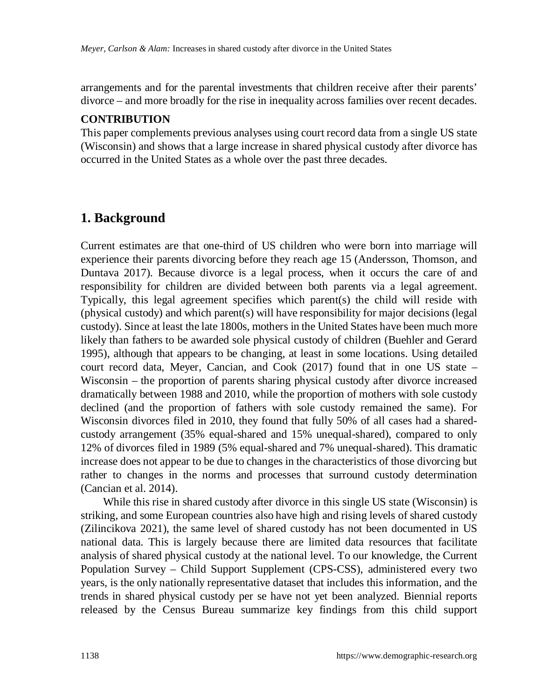arrangements and for the parental investments that children receive after their parents' divorce – and more broadly for the rise in inequality across families over recent decades.

#### **CONTRIBUTION**

This paper complements previous analyses using court record data from a single US state (Wisconsin) and shows that a large increase in shared physical custody after divorce has occurred in the United States as a whole over the past three decades.

## **1. Background**

Current estimates are that one-third of US children who were born into marriage will experience their parents divorcing before they reach age 15 (Andersson, Thomson, and Duntava 2017). Because divorce is a legal process, when it occurs the care of and responsibility for children are divided between both parents via a legal agreement. Typically, this legal agreement specifies which parent(s) the child will reside with (physical custody) and which parent(s) will have responsibility for major decisions (legal custody). Since at least the late 1800s, mothers in the United States have been much more likely than fathers to be awarded sole physical custody of children (Buehler and Gerard 1995), although that appears to be changing, at least in some locations. Using detailed court record data, Meyer, Cancian, and Cook (2017) found that in one US state – Wisconsin – the proportion of parents sharing physical custody after divorce increased dramatically between 1988 and 2010, while the proportion of mothers with sole custody declined (and the proportion of fathers with sole custody remained the same). For Wisconsin divorces filed in 2010, they found that fully 50% of all cases had a sharedcustody arrangement (35% equal-shared and 15% unequal-shared), compared to only 12% of divorces filed in 1989 (5% equal-shared and 7% unequal-shared). This dramatic increase does not appear to be due to changes in the characteristics of those divorcing but rather to changes in the norms and processes that surround custody determination (Cancian et al. 2014).

While this rise in shared custody after divorce in this single US state (Wisconsin) is striking, and some European countries also have high and rising levels of shared custody (Zilincikova 2021), the same level of shared custody has not been documented in US national data. This is largely because there are limited data resources that facilitate analysis of shared physical custody at the national level. To our knowledge, the Current Population Survey – Child Support Supplement (CPS-CSS), administered every two years, is the only nationally representative dataset that includes this information, and the trends in shared physical custody per se have not yet been analyzed. Biennial reports released by the Census Bureau summarize key findings from this child support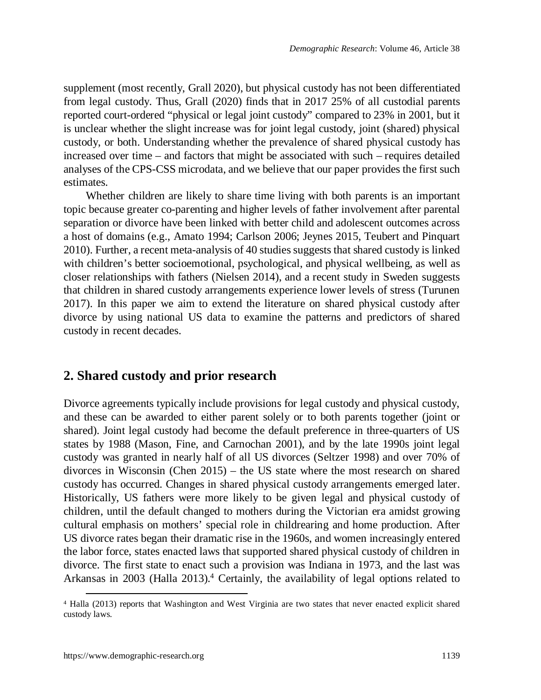supplement (most recently, Grall 2020), but physical custody has not been differentiated from legal custody. Thus, Grall (2020) finds that in 2017 25% of all custodial parents reported court-ordered "physical or legal joint custody" compared to 23% in 2001, but it is unclear whether the slight increase was for joint legal custody, joint (shared) physical custody, or both. Understanding whether the prevalence of shared physical custody has increased over time – and factors that might be associated with such – requires detailed analyses of the CPS-CSS microdata, and we believe that our paper provides the first such estimates.

Whether children are likely to share time living with both parents is an important topic because greater co-parenting and higher levels of father involvement after parental separation or divorce have been linked with better child and adolescent outcomes across a host of domains (e.g., Amato 1994; Carlson 2006; Jeynes 2015, Teubert and Pinquart 2010). Further, a recent meta-analysis of 40 studies suggests that shared custody is linked with children's better socioemotional, psychological, and physical wellbeing, as well as closer relationships with fathers (Nielsen 2014), and a recent study in Sweden suggests that children in shared custody arrangements experience lower levels of stress (Turunen 2017). In this paper we aim to extend the literature on shared physical custody after divorce by using national US data to examine the patterns and predictors of shared custody in recent decades.

## **2. Shared custody and prior research**

Divorce agreements typically include provisions for legal custody and physical custody, and these can be awarded to either parent solely or to both parents together (joint or shared). Joint legal custody had become the default preference in three-quarters of US states by 1988 (Mason, Fine, and Carnochan 2001), and by the late 1990s joint legal custody was granted in nearly half of all US divorces (Seltzer 1998) and over 70% of divorces in Wisconsin (Chen 2015) – the US state where the most research on shared custody has occurred. Changes in shared physical custody arrangements emerged later. Historically, US fathers were more likely to be given legal and physical custody of children, until the default changed to mothers during the Victorian era amidst growing cultural emphasis on mothers' special role in childrearing and home production. After US divorce rates began their dramatic rise in the 1960s, and women increasingly entered the labor force, states enacted laws that supported shared physical custody of children in divorce. The first state to enact such a provision was Indiana in 1973, and the last was Arkansas in 2003 (Halla 2013).<sup>[4](#page-4-0)</sup> Certainly, the availability of legal options related to

<span id="page-4-0"></span><sup>4</sup> Halla (2013) reports that Washington and West Virginia are two states that never enacted explicit shared custody laws.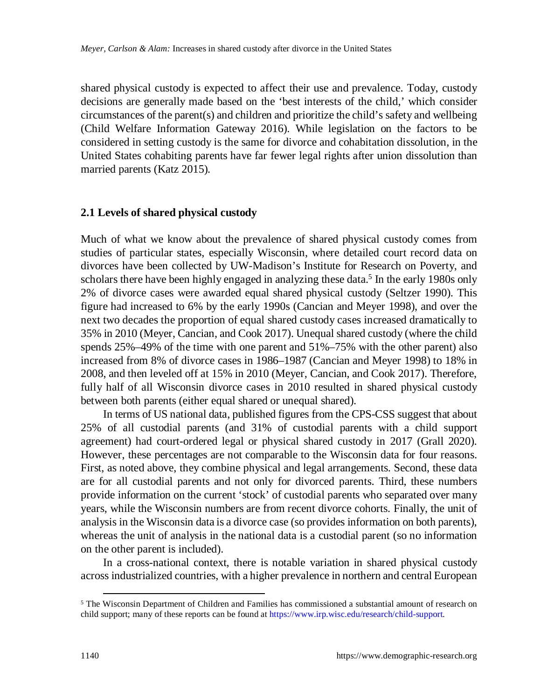shared physical custody is expected to affect their use and prevalence. Today, custody decisions are generally made based on the 'best interests of the child,' which consider circumstances of the parent(s) and children and prioritize the child's safety and wellbeing (Child Welfare Information Gateway 2016). While legislation on the factors to be considered in setting custody is the same for divorce and cohabitation dissolution, in the United States cohabiting parents have far fewer legal rights after union dissolution than married parents (Katz 2015).

#### **2.1 Levels of shared physical custody**

Much of what we know about the prevalence of shared physical custody comes from studies of particular states, especially Wisconsin, where detailed court record data on divorces have been collected by UW-Madison's Institute for Research on Poverty, and scholars there have been highly engaged in analyzing these data.<sup>[5](#page-5-0)</sup> In the early 1980s only 2% of divorce cases were awarded equal shared physical custody (Seltzer 1990). This figure had increased to 6% by the early 1990s (Cancian and Meyer 1998), and over the next two decades the proportion of equal shared custody cases increased dramatically to 35% in 2010 (Meyer, Cancian, and Cook 2017). Unequal shared custody (where the child spends 25%–49% of the time with one parent and 51%–75% with the other parent) also increased from 8% of divorce cases in 1986–1987 (Cancian and Meyer 1998) to 18% in 2008, and then leveled off at 15% in 2010 (Meyer, Cancian, and Cook 2017). Therefore, fully half of all Wisconsin divorce cases in 2010 resulted in shared physical custody between both parents (either equal shared or unequal shared).

In terms of US national data, published figures from the CPS-CSS suggest that about 25% of all custodial parents (and 31% of custodial parents with a child support agreement) had court-ordered legal or physical shared custody in 2017 (Grall 2020). However, these percentages are not comparable to the Wisconsin data for four reasons. First, as noted above, they combine physical and legal arrangements. Second, these data are for all custodial parents and not only for divorced parents. Third, these numbers provide information on the current 'stock' of custodial parents who separated over many years, while the Wisconsin numbers are from recent divorce cohorts. Finally, the unit of analysis in the Wisconsin data is a divorce case (so provides information on both parents), whereas the unit of analysis in the national data is a custodial parent (so no information on the other parent is included).

In a cross-national context, there is notable variation in shared physical custody across industrialized countries, with a higher prevalence in northern and central European

<span id="page-5-0"></span><sup>&</sup>lt;sup>5</sup> The Wisconsin Department of Children and Families has commissioned a substantial amount of research on child support; many of these reports can be found at [https://www.irp.wisc.edu/research/child-support.](https://www.irp.wisc.edu/research/child-support)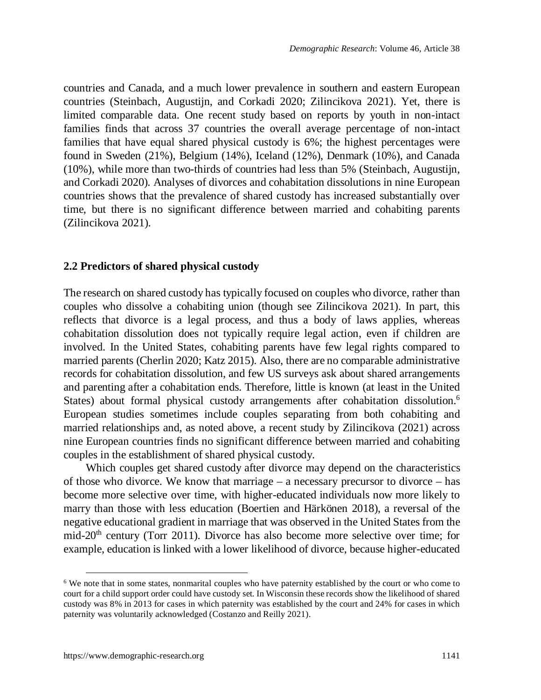countries and Canada, and a much lower prevalence in southern and eastern European countries (Steinbach, Augustijn, and Corkadi 2020; Zilincikova 2021). Yet, there is limited comparable data. One recent study based on reports by youth in non-intact families finds that across 37 countries the overall average percentage of non-intact families that have equal shared physical custody is 6%; the highest percentages were found in Sweden (21%), Belgium (14%), Iceland (12%), Denmark (10%), and Canada (10%), while more than two-thirds of countries had less than 5% (Steinbach, Augustijn, and Corkadi 2020). Analyses of divorces and cohabitation dissolutions in nine European countries shows that the prevalence of shared custody has increased substantially over time, but there is no significant difference between married and cohabiting parents (Zilincikova 2021).

#### **2.2 Predictors of shared physical custody**

The research on shared custody has typically focused on couples who divorce, rather than couples who dissolve a cohabiting union (though see Zilincikova 2021). In part, this reflects that divorce is a legal process, and thus a body of laws applies, whereas cohabitation dissolution does not typically require legal action, even if children are involved. In the United States, cohabiting parents have few legal rights compared to married parents (Cherlin 2020; Katz 2015). Also, there are no comparable administrative records for cohabitation dissolution, and few US surveys ask about shared arrangements and parenting after a cohabitation ends. Therefore, little is known (at least in the United States) about formal physical custody arrangements after cohabitation dissolution.[6](#page-6-0) European studies sometimes include couples separating from both cohabiting and married relationships and, as noted above, a recent study by Zilincikova (2021) across nine European countries finds no significant difference between married and cohabiting couples in the establishment of shared physical custody.

Which couples get shared custody after divorce may depend on the characteristics of those who divorce. We know that marriage – a necessary precursor to divorce – has become more selective over time, with higher-educated individuals now more likely to marry than those with less education (Boertien and Härkönen 2018), a reversal of the negative educational gradient in marriage that was observed in the United States from the mid-20<sup>th</sup> century (Torr 2011). Divorce has also become more selective over time; for example, education is linked with a lower likelihood of divorce, because higher-educated

<span id="page-6-0"></span><sup>&</sup>lt;sup>6</sup> We note that in some states, nonmarital couples who have paternity established by the court or who come to court for a child support order could have custody set. In Wisconsin these records show the likelihood of shared custody was 8% in 2013 for cases in which paternity was established by the court and 24% for cases in which paternity was voluntarily acknowledged (Costanzo and Reilly 2021).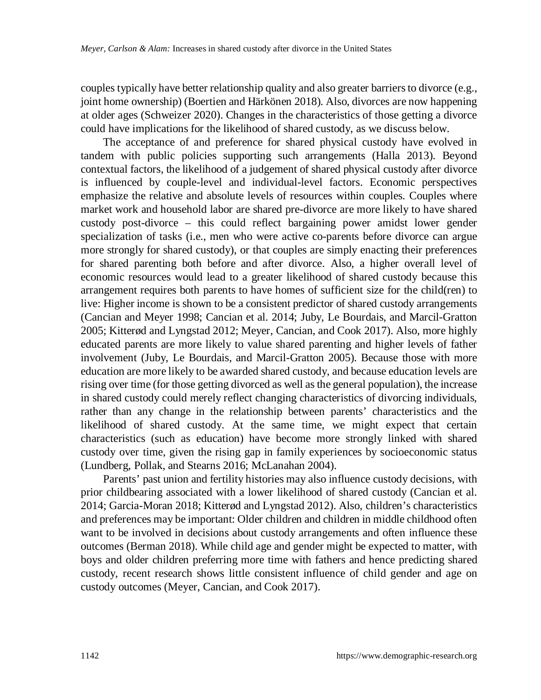couples typically have better relationship quality and also greater barriers to divorce (e.g., joint home ownership) (Boertien and Härkönen 2018). Also, divorces are now happening at older ages (Schweizer 2020). Changes in the characteristics of those getting a divorce could have implications for the likelihood of shared custody, as we discuss below.

The acceptance of and preference for shared physical custody have evolved in tandem with public policies supporting such arrangements (Halla 2013). Beyond contextual factors, the likelihood of a judgement of shared physical custody after divorce is influenced by couple-level and individual-level factors. Economic perspectives emphasize the relative and absolute levels of resources within couples. Couples where market work and household labor are shared pre-divorce are more likely to have shared custody post-divorce – this could reflect bargaining power amidst lower gender specialization of tasks (i.e., men who were active co-parents before divorce can argue more strongly for shared custody), or that couples are simply enacting their preferences for shared parenting both before and after divorce. Also, a higher overall level of economic resources would lead to a greater likelihood of shared custody because this arrangement requires both parents to have homes of sufficient size for the child(ren) to live: Higher income is shown to be a consistent predictor of shared custody arrangements (Cancian and Meyer 1998; Cancian et al. 2014; Juby, Le Bourdais, and Marcil-Gratton 2005; Kitterød and Lyngstad 2012; Meyer, Cancian, and Cook 2017). Also, more highly educated parents are more likely to value shared parenting and higher levels of father involvement (Juby, Le Bourdais, and Marcil-Gratton 2005). Because those with more education are more likely to be awarded shared custody, and because education levels are rising over time (for those getting divorced as well as the general population), the increase in shared custody could merely reflect changing characteristics of divorcing individuals, rather than any change in the relationship between parents' characteristics and the likelihood of shared custody. At the same time, we might expect that certain characteristics (such as education) have become more strongly linked with shared custody over time, given the rising gap in family experiences by socioeconomic status (Lundberg, Pollak, and Stearns 2016; McLanahan 2004).

Parents' past union and fertility histories may also influence custody decisions, with prior childbearing associated with a lower likelihood of shared custody (Cancian et al. 2014; Garcia-Moran 2018; Kitterød and Lyngstad 2012). Also, children's characteristics and preferences may be important: Older children and children in middle childhood often want to be involved in decisions about custody arrangements and often influence these outcomes (Berman 2018). While child age and gender might be expected to matter, with boys and older children preferring more time with fathers and hence predicting shared custody, recent research shows little consistent influence of child gender and age on custody outcomes (Meyer, Cancian, and Cook 2017).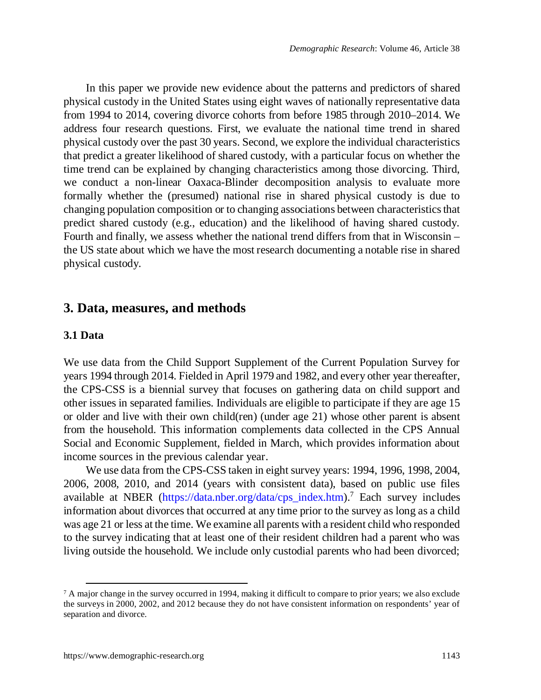In this paper we provide new evidence about the patterns and predictors of shared physical custody in the United States using eight waves of nationally representative data from 1994 to 2014, covering divorce cohorts from before 1985 through 2010–2014. We address four research questions. First, we evaluate the national time trend in shared physical custody over the past 30 years. Second, we explore the individual characteristics that predict a greater likelihood of shared custody, with a particular focus on whether the time trend can be explained by changing characteristics among those divorcing. Third, we conduct a non-linear Oaxaca-Blinder decomposition analysis to evaluate more formally whether the (presumed) national rise in shared physical custody is due to changing population composition or to changing associations between characteristics that predict shared custody (e.g., education) and the likelihood of having shared custody. Fourth and finally, we assess whether the national trend differs from that in Wisconsin – the US state about which we have the most research documenting a notable rise in shared physical custody.

## **3. Data, measures, and methods**

#### **3.1 Data**

We use data from the Child Support Supplement of the Current Population Survey for years 1994 through 2014. Fielded in April 1979 and 1982, and every other year thereafter, the CPS-CSS is a biennial survey that focuses on gathering data on child support and other issues in separated families. Individuals are eligible to participate if they are age 15 or older and live with their own child(ren) (under age 21) whose other parent is absent from the household. This information complements data collected in the CPS Annual Social and Economic Supplement, fielded in March, which provides information about income sources in the previous calendar year.

We use data from the CPS-CSS taken in eight survey years: 1994, 1996, 1998, 2004, 2006, 2008, 2010, and 2014 (years with consistent data), based on public use files available at NBER ([https://data.nber.org/data/cps\\_index.htm](https://data.nber.org/data/cps_index.htm)).[7](#page-8-0) Each survey includes information about divorces that occurred at any time prior to the survey as long as a child was age 21 or less at the time. We examine all parents with a resident child who responded to the survey indicating that at least one of their resident children had a parent who was living outside the household. We include only custodial parents who had been divorced;

<span id="page-8-0"></span><sup>&</sup>lt;sup>7</sup> A major change in the survey occurred in 1994, making it difficult to compare to prior years; we also exclude the surveys in 2000, 2002, and 2012 because they do not have consistent information on respondents' year of separation and divorce.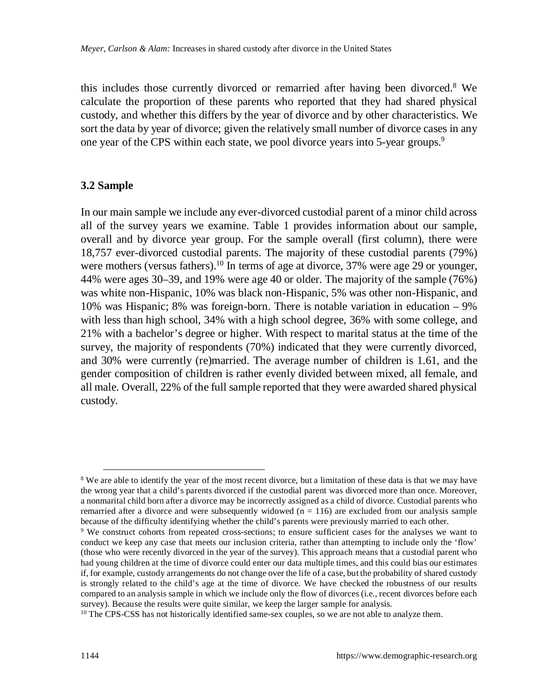this includes those currently divorced or remarried after having been divorced.[8](#page-9-0) We calculate the proportion of these parents who reported that they had shared physical custody, and whether this differs by the year of divorce and by other characteristics. We sort the data by year of divorce; given the relatively small number of divorce cases in any one year of the CPS within each state, we pool divorce vears into 5-year groups.<sup>[9](#page-9-1)</sup>

#### **3.2 Sample**

In our main sample we include any ever-divorced custodial parent of a minor child across all of the survey years we examine. Table 1 provides information about our sample, overall and by divorce year group. For the sample overall (first column), there were 18,757 ever-divorced custodial parents. The majority of these custodial parents (79%) were mothers (versus fathers).<sup>[10](#page-9-2)</sup> In terms of age at divorce, 37% were age 29 or younger, 44% were ages 30–39, and 19% were age 40 or older. The majority of the sample (76%) was white non-Hispanic, 10% was black non-Hispanic, 5% was other non-Hispanic, and 10% was Hispanic; 8% was foreign-born. There is notable variation in education – 9% with less than high school, 34% with a high school degree, 36% with some college, and 21% with a bachelor's degree or higher. With respect to marital status at the time of the survey, the majority of respondents (70%) indicated that they were currently divorced, and 30% were currently (re)married. The average number of children is 1.61, and the gender composition of children is rather evenly divided between mixed, all female, and all male. Overall, 22% of the full sample reported that they were awarded shared physical custody.

<span id="page-9-0"></span><sup>&</sup>lt;sup>8</sup> We are able to identify the year of the most recent divorce, but a limitation of these data is that we may have the wrong year that a child's parents divorced if the custodial parent was divorced more than once. Moreover, a nonmarital child born after a divorce may be incorrectly assigned as a child of divorce. Custodial parents who remarried after a divorce and were subsequently widowed  $(n = 116)$  are excluded from our analysis sample because of the difficulty identifying whether the child's parents were previously married to each other.

<span id="page-9-1"></span><sup>&</sup>lt;sup>9</sup> We construct cohorts from repeated cross-sections; to ensure sufficient cases for the analyses we want to conduct we keep any case that meets our inclusion criteria, rather than attempting to include only the 'flow' (those who were recently divorced in the year of the survey). This approach means that a custodial parent who had young children at the time of divorce could enter our data multiple times, and this could bias our estimates if, for example, custody arrangements do not change over the life of a case, but the probability of shared custody is strongly related to the child's age at the time of divorce. We have checked the robustness of our results compared to an analysis sample in which we include only the flow of divorces (i.e., recent divorces before each survey). Because the results were quite similar, we keep the larger sample for analysis.

<span id="page-9-2"></span><sup>&</sup>lt;sup>10</sup> The CPS-CSS has not historically identified same-sex couples, so we are not able to analyze them.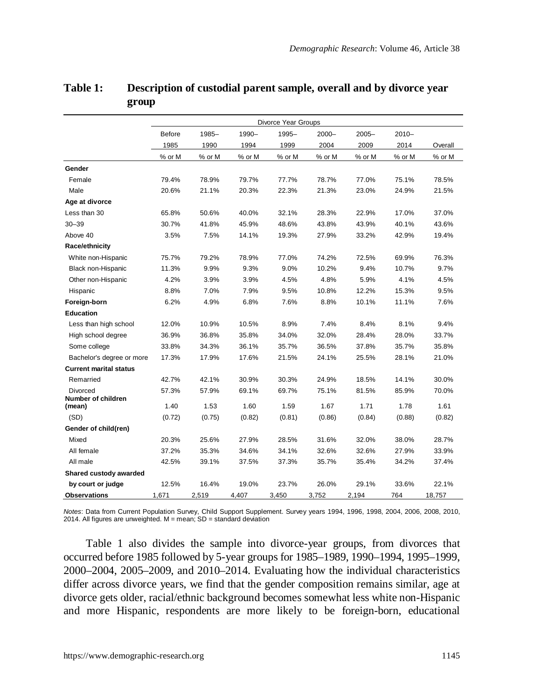|                                | Divorce Year Groups |        |        |        |          |          |          |         |  |
|--------------------------------|---------------------|--------|--------|--------|----------|----------|----------|---------|--|
|                                | Before              | 1985-  | 1990-  | 1995-  | $2000 -$ | $2005 -$ | $2010 -$ |         |  |
|                                | 1985                | 1990   | 1994   | 1999   | 2004     | 2009     | 2014     | Overall |  |
|                                | % or M              | % or M | % or M | % or M | % or M   | % or M   | % or M   | % or M  |  |
| Gender                         |                     |        |        |        |          |          |          |         |  |
| Female                         | 79.4%               | 78.9%  | 79.7%  | 77.7%  | 78.7%    | 77.0%    | 75.1%    | 78.5%   |  |
| Male                           | 20.6%               | 21.1%  | 20.3%  | 22.3%  | 21.3%    | 23.0%    | 24.9%    | 21.5%   |  |
| Age at divorce                 |                     |        |        |        |          |          |          |         |  |
| Less than 30                   | 65.8%               | 50.6%  | 40.0%  | 32.1%  | 28.3%    | 22.9%    | 17.0%    | 37.0%   |  |
| $30 - 39$                      | 30.7%               | 41.8%  | 45.9%  | 48.6%  | 43.8%    | 43.9%    | 40.1%    | 43.6%   |  |
| Above 40                       | 3.5%                | 7.5%   | 14.1%  | 19.3%  | 27.9%    | 33.2%    | 42.9%    | 19.4%   |  |
| Race/ethnicity                 |                     |        |        |        |          |          |          |         |  |
| White non-Hispanic             | 75.7%               | 79.2%  | 78.9%  | 77.0%  | 74.2%    | 72.5%    | 69.9%    | 76.3%   |  |
| Black non-Hispanic             | 11.3%               | 9.9%   | 9.3%   | 9.0%   | 10.2%    | 9.4%     | 10.7%    | 9.7%    |  |
| Other non-Hispanic             | 4.2%                | 3.9%   | 3.9%   | 4.5%   | 4.8%     | 5.9%     | 4.1%     | 4.5%    |  |
| Hispanic                       | 8.8%                | 7.0%   | 7.9%   | 9.5%   | 10.8%    | 12.2%    | 15.3%    | 9.5%    |  |
| Foreign-born                   | 6.2%                | 4.9%   | 6.8%   | 7.6%   | 8.8%     | 10.1%    | 11.1%    | 7.6%    |  |
| Education                      |                     |        |        |        |          |          |          |         |  |
| Less than high school          | 12.0%               | 10.9%  | 10.5%  | 8.9%   | 7.4%     | 8.4%     | 8.1%     | 9.4%    |  |
| High school degree             | 36.9%               | 36.8%  | 35.8%  | 34.0%  | 32.0%    | 28.4%    | 28.0%    | 33.7%   |  |
| Some college                   | 33.8%               | 34.3%  | 36.1%  | 35.7%  | 36.5%    | 37.8%    | 35.7%    | 35.8%   |  |
| Bachelor's degree or more      | 17.3%               | 17.9%  | 17.6%  | 21.5%  | 24.1%    | 25.5%    | 28.1%    | 21.0%   |  |
| <b>Current marital status</b>  |                     |        |        |        |          |          |          |         |  |
| Remarried                      | 42.7%               | 42.1%  | 30.9%  | 30.3%  | 24.9%    | 18.5%    | 14.1%    | 30.0%   |  |
| Divorced<br>Number of children | 57.3%               | 57.9%  | 69.1%  | 69.7%  | 75.1%    | 81.5%    | 85.9%    | 70.0%   |  |
| (mean)                         | 1.40                | 1.53   | 1.60   | 1.59   | 1.67     | 1.71     | 1.78     | 1.61    |  |
| (SD)                           | (0.72)              | (0.75) | (0.82) | (0.81) | (0.86)   | (0.84)   | (0.88)   | (0.82)  |  |
| Gender of child(ren)           |                     |        |        |        |          |          |          |         |  |
| Mixed                          | 20.3%               | 25.6%  | 27.9%  | 28.5%  | 31.6%    | 32.0%    | 38.0%    | 28.7%   |  |
| All female                     | 37.2%               | 35.3%  | 34.6%  | 34.1%  | 32.6%    | 32.6%    | 27.9%    | 33.9%   |  |
| All male                       | 42.5%               | 39.1%  | 37.5%  | 37.3%  | 35.7%    | 35.4%    | 34.2%    | 37.4%   |  |
| Shared custody awarded         |                     |        |        |        |          |          |          |         |  |
| by court or judge              | 12.5%               | 16.4%  | 19.0%  | 23.7%  | 26.0%    | 29.1%    | 33.6%    | 22.1%   |  |
| <b>Observations</b>            | 1.671               | 2,519  | 4.407  | 3,450  | 3,752    | 2,194    | 764      | 18,757  |  |

### **Table 1: Description of custodial parent sample, overall and by divorce year group**

*Notes*: Data from Current Population Survey, Child Support Supplement. Survey years 1994, 1996, 1998, 2004, 2006, 2008, 2010,<br>2014. All figures are unweighted. M = mean; SD = standard deviation

Table 1 also divides the sample into divorce-year groups, from divorces that occurred before 1985 followed by 5-year groups for 1985–1989, 1990–1994, 1995–1999, 2000–2004, 2005–2009, and 2010–2014. Evaluating how the individual characteristics differ across divorce years, we find that the gender composition remains similar, age at divorce gets older, racial/ethnic background becomes somewhat less white non-Hispanic and more Hispanic, respondents are more likely to be foreign-born, educational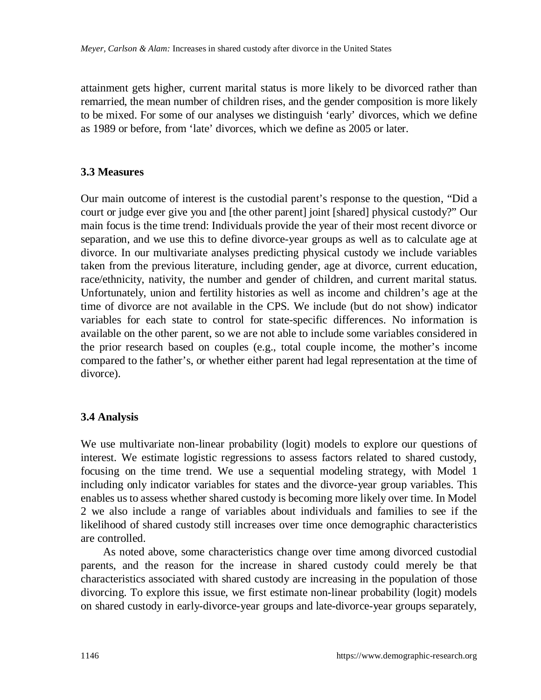attainment gets higher, current marital status is more likely to be divorced rather than remarried, the mean number of children rises, and the gender composition is more likely to be mixed. For some of our analyses we distinguish 'early' divorces, which we define as 1989 or before, from 'late' divorces, which we define as 2005 or later.

## **3.3 Measures**

Our main outcome of interest is the custodial parent's response to the question, "Did a court or judge ever give you and [the other parent] joint [shared] physical custody?" Our main focus is the time trend: Individuals provide the year of their most recent divorce or separation, and we use this to define divorce-year groups as well as to calculate age at divorce. In our multivariate analyses predicting physical custody we include variables taken from the previous literature, including gender, age at divorce, current education, race/ethnicity, nativity, the number and gender of children, and current marital status. Unfortunately, union and fertility histories as well as income and children's age at the time of divorce are not available in the CPS. We include (but do not show) indicator variables for each state to control for state-specific differences. No information is available on the other parent, so we are not able to include some variables considered in the prior research based on couples (e.g., total couple income, the mother's income compared to the father's, or whether either parent had legal representation at the time of divorce).

## **3.4 Analysis**

We use multivariate non-linear probability (logit) models to explore our questions of interest. We estimate logistic regressions to assess factors related to shared custody, focusing on the time trend. We use a sequential modeling strategy, with Model 1 including only indicator variables for states and the divorce-year group variables. This enables us to assess whether shared custody is becoming more likely over time. In Model 2 we also include a range of variables about individuals and families to see if the likelihood of shared custody still increases over time once demographic characteristics are controlled.

As noted above, some characteristics change over time among divorced custodial parents, and the reason for the increase in shared custody could merely be that characteristics associated with shared custody are increasing in the population of those divorcing. To explore this issue, we first estimate non-linear probability (logit) models on shared custody in early-divorce-year groups and late-divorce-year groups separately,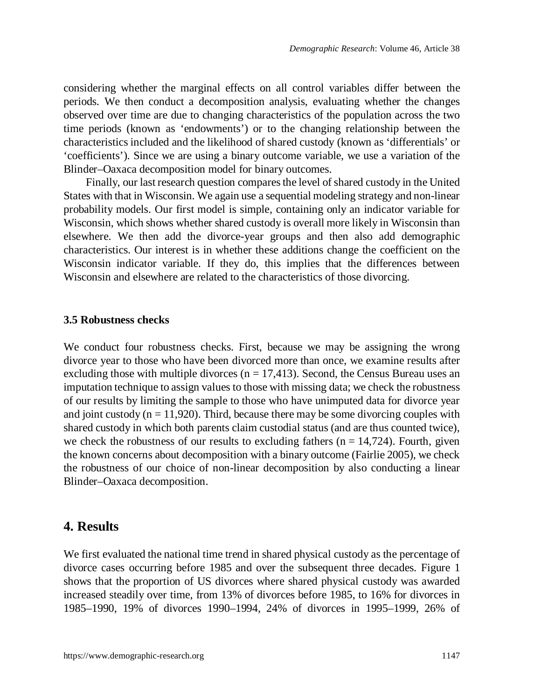considering whether the marginal effects on all control variables differ between the periods. We then conduct a decomposition analysis, evaluating whether the changes observed over time are due to changing characteristics of the population across the two time periods (known as 'endowments') or to the changing relationship between the characteristics included and the likelihood of shared custody (known as 'differentials' or 'coefficients'). Since we are using a binary outcome variable, we use a variation of the Blinder–Oaxaca decomposition model for binary outcomes.

Finally, our last research question compares the level of shared custody in the United States with that in Wisconsin. We again use a sequential modeling strategy and non-linear probability models. Our first model is simple, containing only an indicator variable for Wisconsin, which shows whether shared custody is overall more likely in Wisconsin than elsewhere. We then add the divorce-year groups and then also add demographic characteristics. Our interest is in whether these additions change the coefficient on the Wisconsin indicator variable. If they do, this implies that the differences between Wisconsin and elsewhere are related to the characteristics of those divorcing.

#### **3.5 Robustness checks**

We conduct four robustness checks. First, because we may be assigning the wrong divorce year to those who have been divorced more than once, we examine results after excluding those with multiple divorces ( $n = 17,413$ ). Second, the Census Bureau uses an imputation technique to assign values to those with missing data; we check the robustness of our results by limiting the sample to those who have unimputed data for divorce year and joint custody ( $n = 11,920$ ). Third, because there may be some divorcing couples with shared custody in which both parents claim custodial status (and are thus counted twice), we check the robustness of our results to excluding fathers ( $n = 14,724$ ). Fourth, given the known concerns about decomposition with a binary outcome (Fairlie 2005), we check the robustness of our choice of non-linear decomposition by also conducting a linear Blinder–Oaxaca decomposition.

## **4. Results**

We first evaluated the national time trend in shared physical custody as the percentage of divorce cases occurring before 1985 and over the subsequent three decades. Figure 1 shows that the proportion of US divorces where shared physical custody was awarded increased steadily over time, from 13% of divorces before 1985, to 16% for divorces in 1985–1990, 19% of divorces 1990–1994, 24% of divorces in 1995–1999, 26% of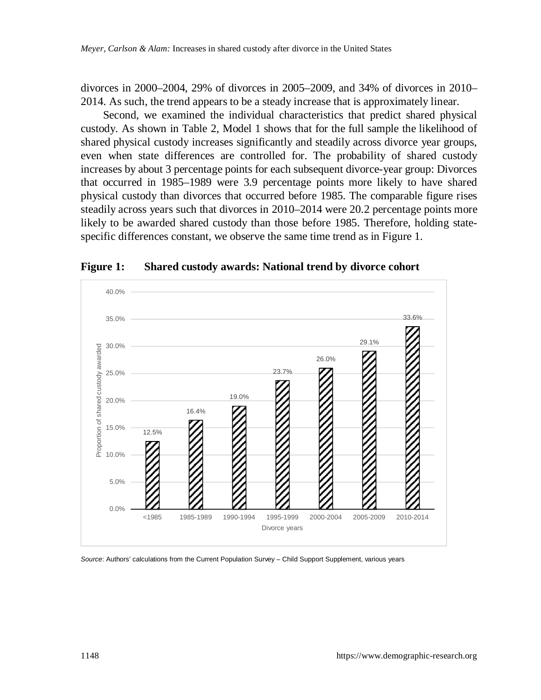divorces in 2000–2004, 29% of divorces in 2005–2009, and 34% of divorces in 2010– 2014. As such, the trend appears to be a steady increase that is approximately linear.

Second, we examined the individual characteristics that predict shared physical custody. As shown in Table 2, Model 1 shows that for the full sample the likelihood of shared physical custody increases significantly and steadily across divorce year groups, even when state differences are controlled for. The probability of shared custody increases by about 3 percentage points for each subsequent divorce-year group: Divorces that occurred in 1985–1989 were 3.9 percentage points more likely to have shared physical custody than divorces that occurred before 1985. The comparable figure rises steadily across years such that divorces in 2010–2014 were 20.2 percentage points more likely to be awarded shared custody than those before 1985. Therefore, holding statespecific differences constant, we observe the same time trend as in Figure 1.



**Figure 1: Shared custody awards: National trend by divorce cohort**

*Source*: Authors' calculations from the Current Population Survey – Child Support Supplement, various years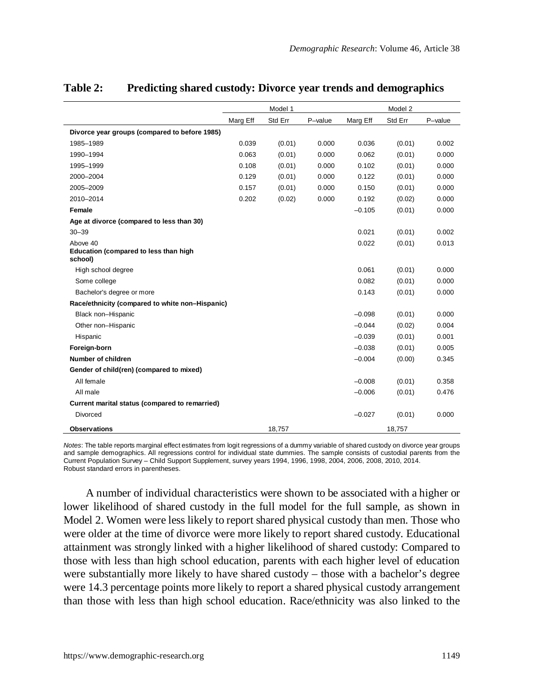|                                                   |          | Model 1 |         | Model 2  |         |         |  |
|---------------------------------------------------|----------|---------|---------|----------|---------|---------|--|
|                                                   | Marg Eff | Std Err | P-value | Marg Eff | Std Err | P-value |  |
| Divorce year groups (compared to before 1985)     |          |         |         |          |         |         |  |
| 1985-1989                                         | 0.039    | (0.01)  | 0.000   | 0.036    | (0.01)  | 0.002   |  |
| 1990-1994                                         | 0.063    | (0.01)  | 0.000   | 0.062    | (0.01)  | 0.000   |  |
| 1995-1999                                         | 0.108    | (0.01)  | 0.000   | 0.102    | (0.01)  | 0.000   |  |
| 2000-2004                                         | 0.129    | (0.01)  | 0.000   | 0.122    | (0.01)  | 0.000   |  |
| 2005-2009                                         | 0.157    | (0.01)  | 0.000   | 0.150    | (0.01)  | 0.000   |  |
| 2010-2014                                         | 0.202    | (0.02)  | 0.000   | 0.192    | (0.02)  | 0.000   |  |
| Female                                            |          |         |         | $-0.105$ | (0.01)  | 0.000   |  |
| Age at divorce (compared to less than 30)         |          |         |         |          |         |         |  |
| $30 - 39$                                         |          |         |         | 0.021    | (0.01)  | 0.002   |  |
| Above 40<br>Education (compared to less than high |          |         |         | 0.022    | (0.01)  | 0.013   |  |
| school)                                           |          |         |         |          |         |         |  |
| High school degree                                |          |         |         | 0.061    | (0.01)  | 0.000   |  |
| Some college                                      |          |         |         | 0.082    | (0.01)  | 0.000   |  |
| Bachelor's degree or more                         |          |         |         | 0.143    | (0.01)  | 0.000   |  |
| Race/ethnicity (compared to white non-Hispanic)   |          |         |         |          |         |         |  |
| Black non-Hispanic                                |          |         |         | $-0.098$ | (0.01)  | 0.000   |  |
| Other non-Hispanic                                |          |         |         | $-0.044$ | (0.02)  | 0.004   |  |
| Hispanic                                          |          |         |         | $-0.039$ | (0.01)  | 0.001   |  |
| Foreign-born                                      |          |         |         | $-0.038$ | (0.01)  | 0.005   |  |
| Number of children                                |          |         |         | $-0.004$ | (0.00)  | 0.345   |  |
| Gender of child(ren) (compared to mixed)          |          |         |         |          |         |         |  |
| All female                                        |          |         |         | $-0.008$ | (0.01)  | 0.358   |  |
| All male                                          |          |         |         | $-0.006$ | (0.01)  | 0.476   |  |
| Current marital status (compared to remarried)    |          |         |         |          |         |         |  |
| Divorced                                          |          |         |         | $-0.027$ | (0.01)  | 0.000   |  |
| <b>Observations</b>                               |          | 18,757  |         |          | 18,757  |         |  |

### **Table 2: Predicting shared custody: Divorce year trends and demographics**

*Notes*: The table reports marginal effect estimates from logit regressions of a dummy variable of shared custody on divorce year groups and sample demographics. All regressions control for individual state dummies. The sample consists of custodial parents from the Current Population Survey – Child Support Supplement, survey years 1994, 1996, 1998, 2004, 2006, 2008, 2010, 2014. Robust standard errors in parentheses.

A number of individual characteristics were shown to be associated with a higher or lower likelihood of shared custody in the full model for the full sample, as shown in Model 2. Women were less likely to report shared physical custody than men. Those who were older at the time of divorce were more likely to report shared custody. Educational attainment was strongly linked with a higher likelihood of shared custody: Compared to those with less than high school education, parents with each higher level of education were substantially more likely to have shared custody – those with a bachelor's degree were 14.3 percentage points more likely to report a shared physical custody arrangement than those with less than high school education. Race/ethnicity was also linked to the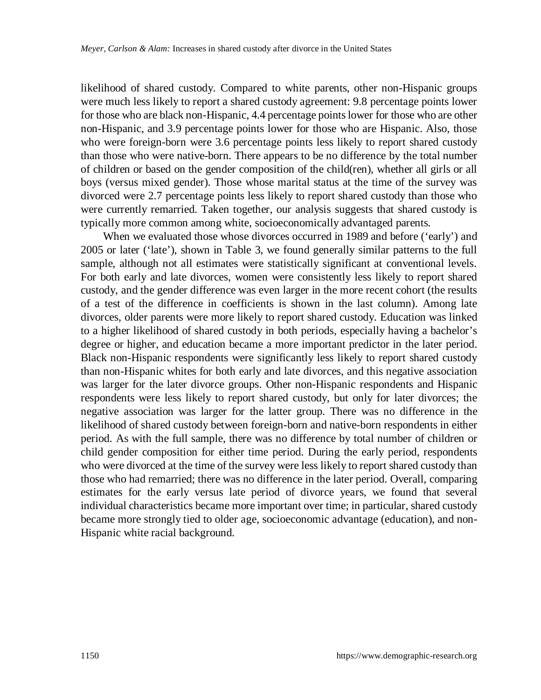likelihood of shared custody. Compared to white parents, other non-Hispanic groups were much less likely to report a shared custody agreement: 9.8 percentage points lower for those who are black non-Hispanic, 4.4 percentage points lower for those who are other non-Hispanic, and 3.9 percentage points lower for those who are Hispanic. Also, those who were foreign-born were 3.6 percentage points less likely to report shared custody than those who were native-born. There appears to be no difference by the total number of children or based on the gender composition of the child(ren), whether all girls or all boys (versus mixed gender). Those whose marital status at the time of the survey was divorced were 2.7 percentage points less likely to report shared custody than those who were currently remarried. Taken together, our analysis suggests that shared custody is typically more common among white, socioeconomically advantaged parents.

When we evaluated those whose divorces occurred in 1989 and before ('early') and 2005 or later ('late'), shown in Table 3, we found generally similar patterns to the full sample, although not all estimates were statistically significant at conventional levels. For both early and late divorces, women were consistently less likely to report shared custody, and the gender difference was even larger in the more recent cohort (the results of a test of the difference in coefficients is shown in the last column). Among late divorces, older parents were more likely to report shared custody. Education was linked to a higher likelihood of shared custody in both periods, especially having a bachelor's degree or higher, and education became a more important predictor in the later period. Black non-Hispanic respondents were significantly less likely to report shared custody than non-Hispanic whites for both early and late divorces, and this negative association was larger for the later divorce groups. Other non-Hispanic respondents and Hispanic respondents were less likely to report shared custody, but only for later divorces; the negative association was larger for the latter group. There was no difference in the likelihood of shared custody between foreign-born and native-born respondents in either period. As with the full sample, there was no difference by total number of children or child gender composition for either time period. During the early period, respondents who were divorced at the time of the survey were less likely to report shared custody than those who had remarried; there was no difference in the later period. Overall, comparing estimates for the early versus late period of divorce years, we found that several individual characteristics became more important over time; in particular, shared custody became more strongly tied to older age, socioeconomic advantage (education), and non-Hispanic white racial background.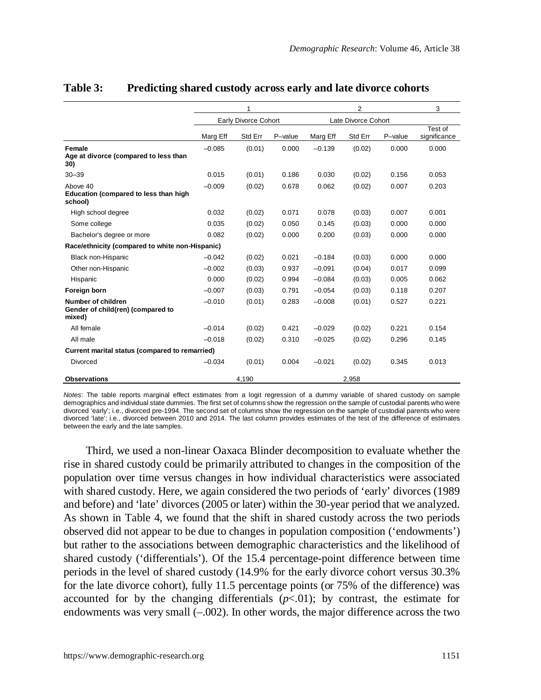|                                                                   |          | 1                    |         |                     | 3       |         |                         |
|-------------------------------------------------------------------|----------|----------------------|---------|---------------------|---------|---------|-------------------------|
|                                                                   |          | Early Divorce Cohort |         | Late Divorce Cohort |         |         |                         |
|                                                                   | Marg Eff | Std Err              | P-value | Marg Eff            | Std Err | P-value | Test of<br>significance |
| Female<br>Age at divorce (compared to less than<br>30)            | $-0.085$ | (0.01)               | 0.000   | $-0.139$            | (0.02)  | 0.000   | 0.000                   |
| $30 - 39$                                                         | 0.015    | (0.01)               | 0.186   | 0.030               | (0.02)  | 0.156   | 0.053                   |
| Above 40<br>Education (compared to less than high<br>school)      | $-0.009$ | (0.02)               | 0.678   | 0.062               | (0.02)  | 0.007   | 0.203                   |
| High school degree                                                | 0.032    | (0.02)               | 0.071   | 0.078               | (0.03)  | 0.007   | 0.001                   |
| Some college                                                      | 0.035    | (0.02)               | 0.050   | 0.145               | (0.03)  | 0.000   | 0.000                   |
| Bachelor's degree or more                                         | 0.082    | (0.02)               | 0.000   | 0.200               | (0.03)  | 0.000   | 0.000                   |
| Race/ethnicity (compared to white non-Hispanic)                   |          |                      |         |                     |         |         |                         |
| Black non-Hispanic                                                | $-0.042$ | (0.02)               | 0.021   | $-0.184$            | (0.03)  | 0.000   | 0.000                   |
| Other non-Hispanic                                                | $-0.002$ | (0.03)               | 0.937   | $-0.091$            | (0.04)  | 0.017   | 0.099                   |
| Hispanic                                                          | 0.000    | (0.02)               | 0.994   | $-0.084$            | (0.03)  | 0.005   | 0.062                   |
| Foreign born                                                      | $-0.007$ | (0.03)               | 0.791   | $-0.054$            | (0.03)  | 0.118   | 0.207                   |
| Number of children<br>Gender of child(ren) (compared to<br>mixed) | $-0.010$ | (0.01)               | 0.283   | $-0.008$            | (0.01)  | 0.527   | 0.221                   |
| All female                                                        | $-0.014$ | (0.02)               | 0.421   | $-0.029$            | (0.02)  | 0.221   | 0.154                   |
| All male                                                          | $-0.018$ | (0.02)               | 0.310   | $-0.025$            | (0.02)  | 0.296   | 0.145                   |
| Current marital status (compared to remarried)                    |          |                      |         |                     |         |         |                         |
| Divorced                                                          | $-0.034$ | (0.01)               | 0.004   | $-0.021$            | (0.02)  | 0.345   | 0.013                   |
| <b>Observations</b>                                               |          | 4,190                |         |                     | 2,958   |         |                         |

## **Table 3: Predicting shared custody across early and late divorce cohorts**

*Notes*: The table reports marginal effect estimates from a logit regression of a dummy variable of shared custody on sample demographics and individual state dummies. The first set of columns show the regression on the sample of custodial parents who were divorced 'early'; i.e., divorced pre-1994. The second set of columns show the regression on the sample of custodial parents who were divorced 'late'; i.e., divorced between 2010 and 2014. The last column provides estimates of the test of the difference of estimates between the early and the late samples.

Third, we used a non-linear Oaxaca Blinder decomposition to evaluate whether the rise in shared custody could be primarily attributed to changes in the composition of the population over time versus changes in how individual characteristics were associated with shared custody. Here, we again considered the two periods of 'early' divorces (1989 and before) and 'late' divorces (2005 or later) within the 30-year period that we analyzed. As shown in Table 4, we found that the shift in shared custody across the two periods observed did not appear to be due to changes in population composition ('endowments') but rather to the associations between demographic characteristics and the likelihood of shared custody ('differentials'). Of the 15.4 percentage-point difference between time periods in the level of shared custody (14.9% for the early divorce cohort versus 30.3% for the late divorce cohort), fully 11.5 percentage points (or 75% of the difference) was accounted for by the changing differentials  $(p<.01)$ ; by contrast, the estimate for endowments was very small  $(-.002)$ . In other words, the major difference across the two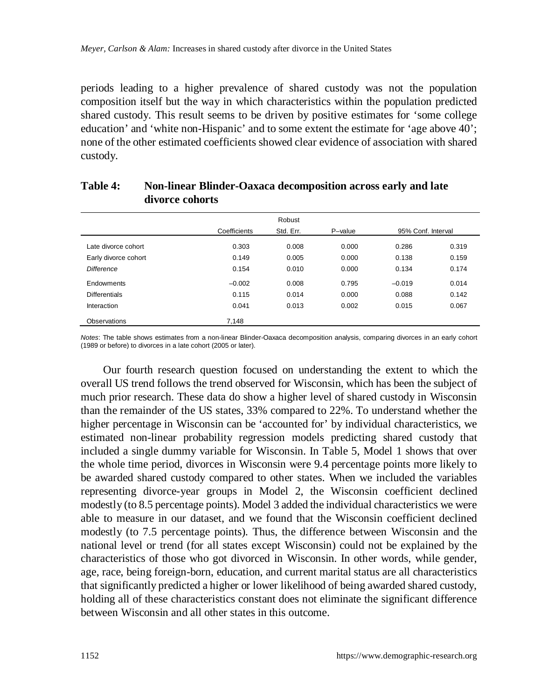periods leading to a higher prevalence of shared custody was not the population composition itself but the way in which characteristics within the population predicted shared custody. This result seems to be driven by positive estimates for 'some college education' and 'white non-Hispanic' and to some extent the estimate for 'age above 40'; none of the other estimated coefficients showed clear evidence of association with shared custody.

|                      |              | Robust    |         |                    |       |  |
|----------------------|--------------|-----------|---------|--------------------|-------|--|
|                      | Coefficients | Std. Err. | P-value | 95% Conf. Interval |       |  |
| Late divorce cohort  | 0.303        | 0.008     | 0.000   | 0.286              | 0.319 |  |
| Early divorce cohort | 0.149        | 0.005     | 0.000   | 0.138              | 0.159 |  |
| <b>Difference</b>    | 0.154        |           | 0.000   | 0.134              | 0.174 |  |
| Endowments           | $-0.002$     | 0.008     | 0.795   | $-0.019$           | 0.014 |  |
| <b>Differentials</b> | 0.115        | 0.014     | 0.000   | 0.088              | 0.142 |  |
| Interaction          | 0.041        | 0.013     | 0.002   | 0.015              | 0.067 |  |
| Observations         | 7.148        |           |         |                    |       |  |

## **Table 4: Non-linear Blinder-Oaxaca decomposition across early and late divorce cohorts**

*Notes*: The table shows estimates from a non-linear Blinder-Oaxaca decomposition analysis, comparing divorces in an early cohort (1989 or before) to divorces in a late cohort (2005 or later).

Our fourth research question focused on understanding the extent to which the overall US trend follows the trend observed for Wisconsin, which has been the subject of much prior research. These data do show a higher level of shared custody in Wisconsin than the remainder of the US states, 33% compared to 22%. To understand whether the higher percentage in Wisconsin can be 'accounted for' by individual characteristics, we estimated non-linear probability regression models predicting shared custody that included a single dummy variable for Wisconsin. In Table 5, Model 1 shows that over the whole time period, divorces in Wisconsin were 9.4 percentage points more likely to be awarded shared custody compared to other states. When we included the variables representing divorce-year groups in Model 2, the Wisconsin coefficient declined modestly (to 8.5 percentage points). Model 3 added the individual characteristics we were able to measure in our dataset, and we found that the Wisconsin coefficient declined modestly (to 7.5 percentage points). Thus, the difference between Wisconsin and the national level or trend (for all states except Wisconsin) could not be explained by the characteristics of those who got divorced in Wisconsin. In other words, while gender, age, race, being foreign-born, education, and current marital status are all characteristics that significantly predicted a higher or lower likelihood of being awarded shared custody, holding all of these characteristics constant does not eliminate the significant difference between Wisconsin and all other states in this outcome.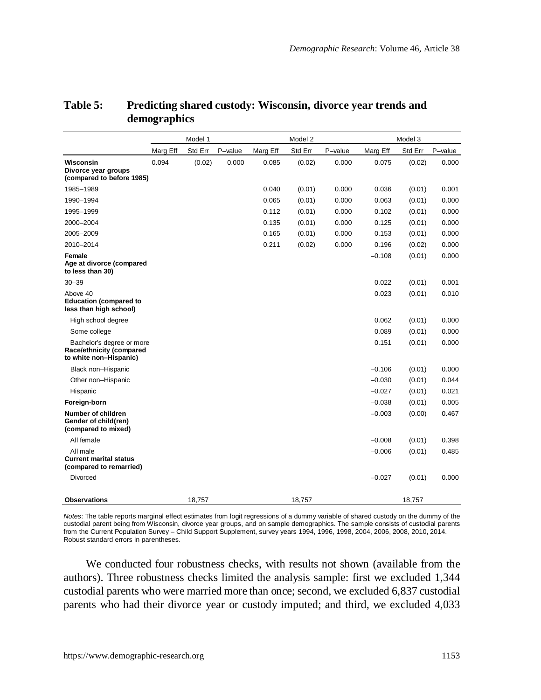|                                                                                 | Model 1  |         |         |          | Model 2 |         | Model 3  |         |         |
|---------------------------------------------------------------------------------|----------|---------|---------|----------|---------|---------|----------|---------|---------|
|                                                                                 | Marg Eff | Std Err | P-value | Marg Eff | Std Err | P-value | Marg Eff | Std Err | P-value |
| Wisconsin<br>Divorce year groups<br>(compared to before 1985)                   | 0.094    | (0.02)  | 0.000   | 0.085    | (0.02)  | 0.000   | 0.075    | (0.02)  | 0.000   |
| 1985-1989                                                                       |          |         |         | 0.040    | (0.01)  | 0.000   | 0.036    | (0.01)  | 0.001   |
| 1990-1994                                                                       |          |         |         | 0.065    | (0.01)  | 0.000   | 0.063    | (0.01)  | 0.000   |
| 1995-1999                                                                       |          |         |         | 0.112    | (0.01)  | 0.000   | 0.102    | (0.01)  | 0.000   |
| 2000-2004                                                                       |          |         |         | 0.135    | (0.01)  | 0.000   | 0.125    | (0.01)  | 0.000   |
| 2005-2009                                                                       |          |         |         | 0.165    | (0.01)  | 0.000   | 0.153    | (0.01)  | 0.000   |
| 2010-2014                                                                       |          |         |         | 0.211    | (0.02)  | 0.000   | 0.196    | (0.02)  | 0.000   |
| Female<br>Age at divorce (compared<br>to less than 30)                          |          |         |         |          |         |         | $-0.108$ | (0.01)  | 0.000   |
| $30 - 39$                                                                       |          |         |         |          |         |         | 0.022    | (0.01)  | 0.001   |
| Above 40<br><b>Education (compared to</b><br>less than high school)             |          |         |         |          |         |         | 0.023    | (0.01)  | 0.010   |
| High school degree                                                              |          |         |         |          |         |         | 0.062    | (0.01)  | 0.000   |
| Some college                                                                    |          |         |         |          |         |         | 0.089    | (0.01)  | 0.000   |
| Bachelor's degree or more<br>Race/ethnicity (compared<br>to white non-Hispanic) |          |         |         |          |         |         | 0.151    | (0.01)  | 0.000   |
| Black non-Hispanic                                                              |          |         |         |          |         |         | $-0.106$ | (0.01)  | 0.000   |
| Other non-Hispanic                                                              |          |         |         |          |         |         | $-0.030$ | (0.01)  | 0.044   |
| Hispanic                                                                        |          |         |         |          |         |         | $-0.027$ | (0.01)  | 0.021   |
| Foreign-born                                                                    |          |         |         |          |         |         | $-0.038$ | (0.01)  | 0.005   |
| Number of children<br>Gender of child(ren)<br>(compared to mixed)               |          |         |         |          |         |         | $-0.003$ | (0.00)  | 0.467   |
| All female                                                                      |          |         |         |          |         |         | $-0.008$ | (0.01)  | 0.398   |
| All male<br><b>Current marital status</b><br>(compared to remarried)            |          |         |         |          |         |         | $-0.006$ | (0.01)  | 0.485   |
| Divorced                                                                        |          |         |         |          |         |         | $-0.027$ | (0.01)  | 0.000   |
| <b>Observations</b>                                                             |          | 18.757  |         |          | 18.757  |         |          | 18.757  |         |

## **Table 5: Predicting shared custody: Wisconsin, divorce year trends and demographics**

*Notes*: The table reports marginal effect estimates from logit regressions of a dummy variable of shared custody on the dummy of the custodial parent being from Wisconsin, divorce year groups, and on sample demographics. The sample consists of custodial parents from the Current Population Survey – Child Support Supplement, survey years 1994, 1996, 1998, 2004, 2006, 2008, 2010, 2014. Robust standard errors in parentheses.

We conducted four robustness checks, with results not shown (available from the authors). Three robustness checks limited the analysis sample: first we excluded 1,344 custodial parents who were married more than once; second, we excluded 6,837 custodial parents who had their divorce year or custody imputed; and third, we excluded 4,033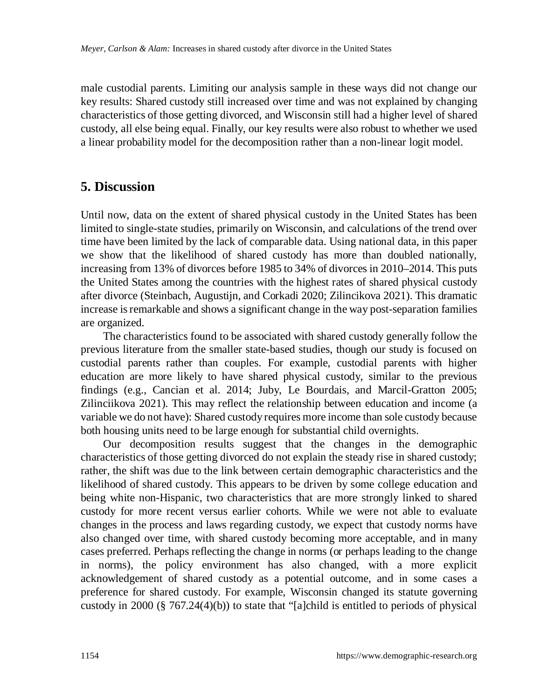male custodial parents. Limiting our analysis sample in these ways did not change our key results: Shared custody still increased over time and was not explained by changing characteristics of those getting divorced, and Wisconsin still had a higher level of shared custody, all else being equal. Finally, our key results were also robust to whether we used a linear probability model for the decomposition rather than a non-linear logit model.

## **5. Discussion**

Until now, data on the extent of shared physical custody in the United States has been limited to single-state studies, primarily on Wisconsin, and calculations of the trend over time have been limited by the lack of comparable data. Using national data, in this paper we show that the likelihood of shared custody has more than doubled nationally, increasing from 13% of divorces before 1985 to 34% of divorces in 2010–2014. This puts the United States among the countries with the highest rates of shared physical custody after divorce (Steinbach, Augustijn, and Corkadi 2020; Zilincikova 2021). This dramatic increase is remarkable and shows a significant change in the way post-separation families are organized.

The characteristics found to be associated with shared custody generally follow the previous literature from the smaller state-based studies, though our study is focused on custodial parents rather than couples. For example, custodial parents with higher education are more likely to have shared physical custody, similar to the previous findings (e.g., Cancian et al. 2014; Juby, Le Bourdais, and Marcil-Gratton 2005; Zilinciikova 2021). This may reflect the relationship between education and income (a variable we do not have): Shared custody requires more income than sole custody because both housing units need to be large enough for substantial child overnights.

Our decomposition results suggest that the changes in the demographic characteristics of those getting divorced do not explain the steady rise in shared custody; rather, the shift was due to the link between certain demographic characteristics and the likelihood of shared custody. This appears to be driven by some college education and being white non-Hispanic, two characteristics that are more strongly linked to shared custody for more recent versus earlier cohorts. While we were not able to evaluate changes in the process and laws regarding custody, we expect that custody norms have also changed over time, with shared custody becoming more acceptable, and in many cases preferred. Perhaps reflecting the change in norms (or perhaps leading to the change in norms), the policy environment has also changed, with a more explicit acknowledgement of shared custody as a potential outcome, and in some cases a preference for shared custody. For example, Wisconsin changed its statute governing custody in 2000 (§ 767.24(4)(b)) to state that "[a]child is entitled to periods of physical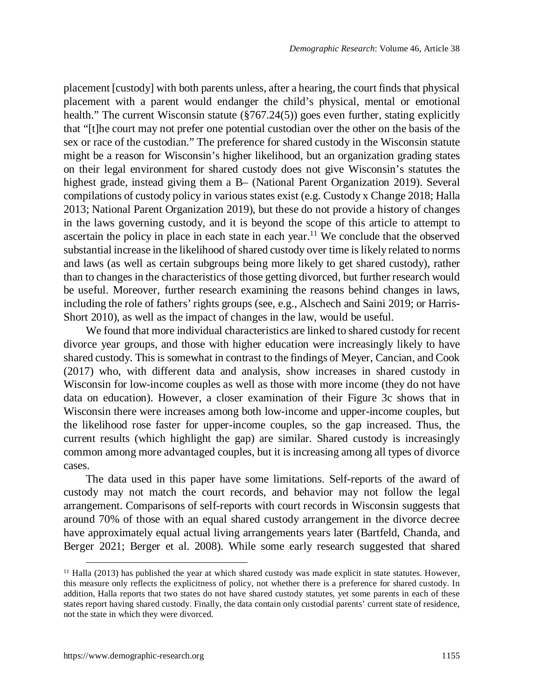placement [custody] with both parents unless, after a hearing, the court finds that physical placement with a parent would endanger the child's physical, mental or emotional health." The current Wisconsin statute (§767.24(5)) goes even further, stating explicitly that "[t]he court may not prefer one potential custodian over the other on the basis of the sex or race of the custodian." The preference for shared custody in the Wisconsin statute might be a reason for Wisconsin's higher likelihood, but an organization grading states on their legal environment for shared custody does not give Wisconsin's statutes the highest grade, instead giving them a B– (National Parent Organization 2019). Several compilations of custody policy in various states exist (e.g. Custody x Change 2018; Halla 2013; National Parent Organization 2019), but these do not provide a history of changes in the laws governing custody, and it is beyond the scope of this article to attempt to ascertain the policy in place in each state in each year.<sup>11</sup> We conclude that the observed substantial increase in the likelihood of shared custody over time is likely related to norms and laws (as well as certain subgroups being more li[kely](#page-20-0) to get shared custody), rather than to changes in the characteristics of those getting divorced, but further research would be useful. Moreover, further research examining the reasons behind changes in laws, including the role of fathers' rights groups (see, e.g., Alschech and Saini 2019; or Harris-Short 2010), as well as the impact of changes in the law, would be useful.

We found that more individual characteristics are linked to shared custody for recent divorce year groups, and those with higher education were increasingly likely to have shared custody. This is somewhat in contrast to the findings of Meyer, Cancian, and Cook (2017) who, with different data and analysis, show increases in shared custody in Wisconsin for low-income couples as well as those with more income (they do not have data on education). However, a closer examination of their Figure 3c shows that in Wisconsin there were increases among both low-income and upper-income couples, but the likelihood rose faster for upper-income couples, so the gap increased. Thus, the current results (which highlight the gap) are similar. Shared custody is increasingly common among more advantaged couples, but it is increasing among all types of divorce cases.

The data used in this paper have some limitations. Self-reports of the award of custody may not match the court records, and behavior may not follow the legal arrangement. Comparisons of self-reports with court records in Wisconsin suggests that around 70% of those with an equal shared custody arrangement in the divorce decree have approximately equal actual living arrangements years later (Bartfeld, Chanda, and Berger 2021; Berger et al. 2008). While some early research suggested that shared

<span id="page-20-0"></span><sup>&</sup>lt;sup>11</sup> Halla (2013) has published the year at which shared custody was made explicit in state statutes. However, this measure only reflects the explicitness of policy, not whether there is a preference for shared custody. In addition, Halla reports that two states do not have shared custody statutes, yet some parents in each of these states report having shared custody. Finally, the data contain only custodial parents' current state of residence, not the state in which they were divorced.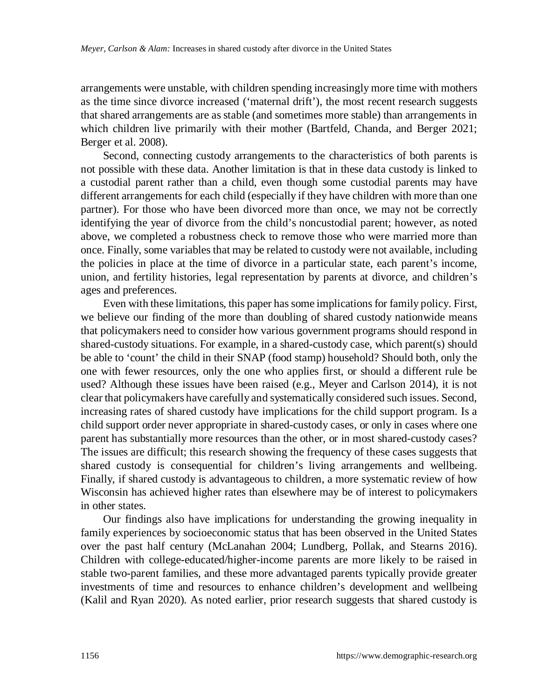arrangements were unstable, with children spending increasingly more time with mothers as the time since divorce increased ('maternal drift'), the most recent research suggests that shared arrangements are as stable (and sometimes more stable) than arrangements in which children live primarily with their mother (Bartfeld, Chanda, and Berger 2021; Berger et al. 2008).

Second, connecting custody arrangements to the characteristics of both parents is not possible with these data. Another limitation is that in these data custody is linked to a custodial parent rather than a child, even though some custodial parents may have different arrangements for each child (especially if they have children with more than one partner). For those who have been divorced more than once, we may not be correctly identifying the year of divorce from the child's noncustodial parent; however, as noted above, we completed a robustness check to remove those who were married more than once. Finally, some variables that may be related to custody were not available, including the policies in place at the time of divorce in a particular state, each parent's income, union, and fertility histories, legal representation by parents at divorce, and children's ages and preferences.

Even with these limitations, this paper has some implications for family policy. First, we believe our finding of the more than doubling of shared custody nationwide means that policymakers need to consider how various government programs should respond in shared-custody situations. For example, in a shared-custody case, which parent(s) should be able to 'count' the child in their SNAP (food stamp) household? Should both, only the one with fewer resources, only the one who applies first, or should a different rule be used? Although these issues have been raised (e.g., Meyer and Carlson 2014), it is not clear that policymakers have carefully and systematically considered such issues. Second, increasing rates of shared custody have implications for the child support program. Is a child support order never appropriate in shared-custody cases, or only in cases where one parent has substantially more resources than the other, or in most shared-custody cases? The issues are difficult; this research showing the frequency of these cases suggests that shared custody is consequential for children's living arrangements and wellbeing. Finally, if shared custody is advantageous to children, a more systematic review of how Wisconsin has achieved higher rates than elsewhere may be of interest to policymakers in other states.

Our findings also have implications for understanding the growing inequality in family experiences by socioeconomic status that has been observed in the United States over the past half century (McLanahan 2004; Lundberg, Pollak, and Stearns 2016). Children with college-educated/higher-income parents are more likely to be raised in stable two-parent families, and these more advantaged parents typically provide greater investments of time and resources to enhance children's development and wellbeing (Kalil and Ryan 2020). As noted earlier, prior research suggests that shared custody is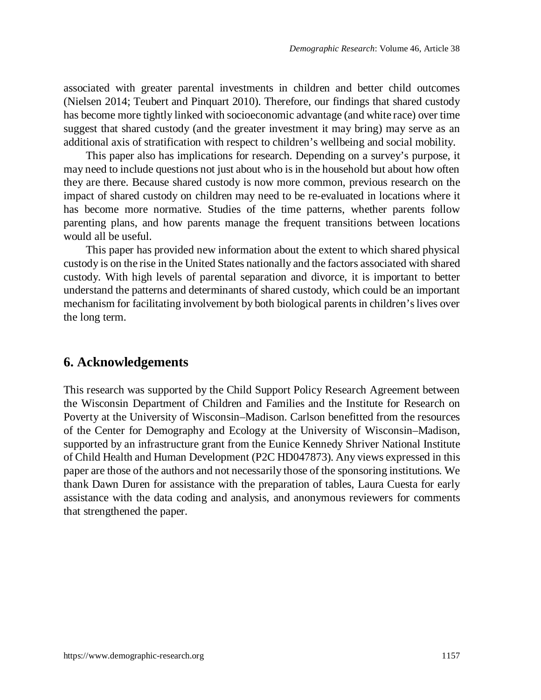associated with greater parental investments in children and better child outcomes (Nielsen 2014; Teubert and Pinquart 2010). Therefore, our findings that shared custody has become more tightly linked with socioeconomic advantage (and white race) over time suggest that shared custody (and the greater investment it may bring) may serve as an additional axis of stratification with respect to children's wellbeing and social mobility.

This paper also has implications for research. Depending on a survey's purpose, it may need to include questions not just about who is in the household but about how often they are there. Because shared custody is now more common, previous research on the impact of shared custody on children may need to be re-evaluated in locations where it has become more normative. Studies of the time patterns, whether parents follow parenting plans, and how parents manage the frequent transitions between locations would all be useful.

This paper has provided new information about the extent to which shared physical custody is on the rise in the United States nationally and the factors associated with shared custody. With high levels of parental separation and divorce, it is important to better understand the patterns and determinants of shared custody, which could be an important mechanism for facilitating involvement by both biological parents in children's lives over the long term.

## **6. Acknowledgements**

This research was supported by the Child Support Policy Research Agreement between the Wisconsin Department of Children and Families and the Institute for Research on Poverty at the University of Wisconsin–Madison. Carlson benefitted from the resources of the Center for Demography and Ecology at the University of Wisconsin–Madison, supported by an infrastructure grant from the Eunice Kennedy Shriver National Institute of Child Health and Human Development (P2C HD047873). Any views expressed in this paper are those of the authors and not necessarily those of the sponsoring institutions. We thank Dawn Duren for assistance with the preparation of tables, Laura Cuesta for early assistance with the data coding and analysis, and anonymous reviewers for comments that strengthened the paper.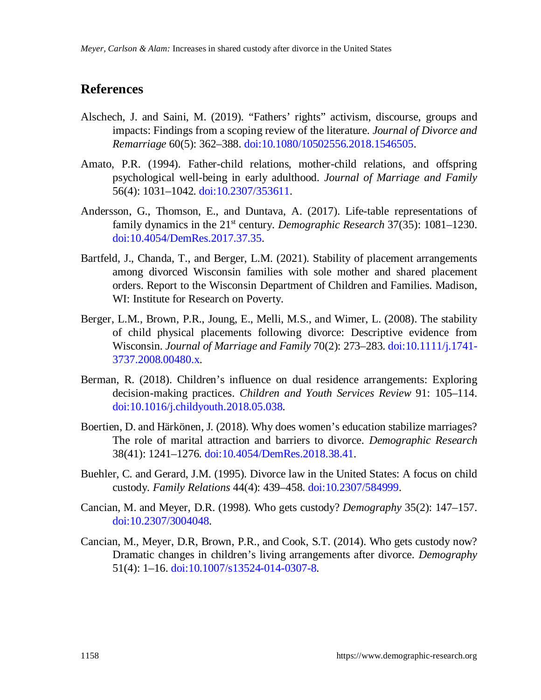## **References**

- Alschech, J. and Saini, M. (2019). "Fathers' rights" activism, discourse, groups and impacts: Findings from a scoping review of the literature. *Journal of Divorce and Remarriage* 60(5): 362–388. [doi:10.1080/10502556.2018.1546505](https://doi.org/10.1080/10502556.2018.1546505).
- Amato, P.R. (1994). Father-child relations, mother-child relations, and offspring psychological well-being in early adulthood. *Journal of Marriage and Family* 56(4): 1031–1042. [doi:10.2307/353611](https://doi.org/10.2307/353611).
- Andersson, G., Thomson, E., and Duntava, A. (2017). Life-table representations of family dynamics in the 21<sup>st</sup> century. *Demographic Research* 37(35): 1081–1230. [doi:10.4054/DemRes.2017.37.35](https://doi.org/10.4054/DemRes.2017.37.35).
- Bartfeld, J., Chanda, T., and Berger, L.M. (2021). Stability of placement arrangements among divorced Wisconsin families with sole mother and shared placement orders. Report to the Wisconsin Department of Children and Families. Madison, WI: Institute for Research on Poverty.
- Berger, L.M., Brown, P.R., Joung, E., Melli, M.S., and Wimer, L. (2008). The stability of child physical placements following divorce: Descriptive evidence from Wisconsin. *Journal of Marriage and Family* 70(2): 273–283. [doi:10.1111/j.1741-](https://doi.org/10.1111/j.1741-3737.2008.00480.x) [3737.2008.00480.x.](https://doi.org/10.1111/j.1741-3737.2008.00480.x)
- Berman, R. (2018). Children's influence on dual residence arrangements: Exploring decision-making practices. *Children and Youth Services Review* 91: 105–114. [doi:10.1016/j.childyouth.2018.05.038.](https://doi.org/10.1016/j.childyouth.2018.05.038)
- Boertien, D. and Härkönen, J. (2018). Why does women's education stabilize marriages? The role of marital attraction and barriers to divorce. *Demographic Research* 38(41): 1241–1276. [doi:10.4054/DemRes.2018.38.41](https://doi.org/10.4054/DemRes.2018.38.41).
- Buehler, C. and Gerard, J.M. (1995). Divorce law in the United States: A focus on child custody. *Family Relations* 44(4): 439–458. [doi:10.2307/584999.](https://doi.org/10.2307/584999)
- Cancian, M. and Meyer, D.R. (1998). Who gets custody? *Demography* 35(2): 147–157. [doi:10.2307/3004048](https://doi.org/10.2307/3004048).
- Cancian, M., Meyer, D.R, Brown, P.R., and Cook, S.T. (2014). Who gets custody now? Dramatic changes in children's living arrangements after divorce. *Demography* 51(4): 1–16. [doi:10.1007/s13524-014-0307-8](https://doi.org/10.1007/s13524-014-0307-8).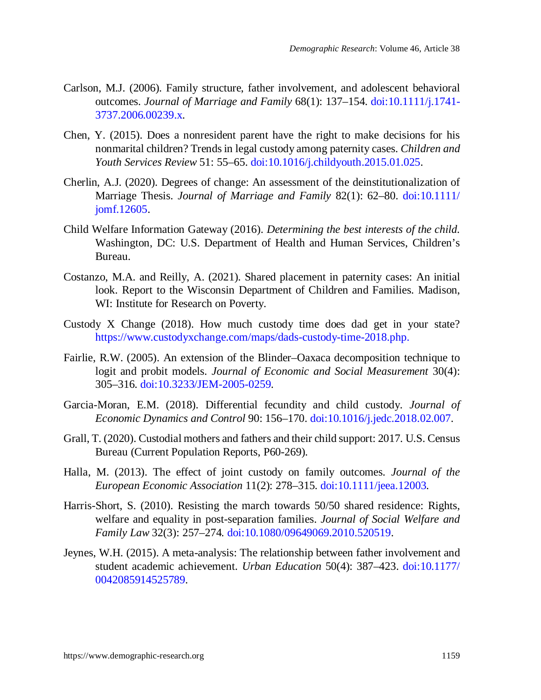- Carlson, M.J. (2006). Family structure, father involvement, and adolescent behavioral outcomes. *Journal of Marriage and Family* 68(1): 137–154. [doi:10.1111/j.1741-](https://doi.org/10.1111/j.1741-3737.2006.00239.x) [3737.2006.00239.x.](https://doi.org/10.1111/j.1741-3737.2006.00239.x)
- Chen, Y. (2015). Does a nonresident parent have the right to make decisions for his nonmarital children? Trends in legal custody among paternity cases. *Children and Youth Services Review* 51: 55–65. [doi:10.1016/j.childyouth.2015.01.025.](https://doi.org/10.1016/j.childyouth.2015.01.025)
- Cherlin, A.J. (2020). Degrees of change: An assessment of the deinstitutionalization of Marriage Thesis. *Journal of Marriage and Family* 82(1): 62–80. [doi:10.1111/](https://doi.org/10.1111/jomf.12605) [jomf.12605.](https://doi.org/10.1111/jomf.12605)
- Child Welfare Information Gateway (2016). *Determining the best interests of the child.* Washington, DC: U.S. Department of Health and Human Services, Children's Bureau.
- Costanzo, M.A. and Reilly, A. (2021). Shared placement in paternity cases: An initial look. Report to the Wisconsin Department of Children and Families. Madison, WI: Institute for Research on Poverty.
- Custody X Change (2018). How much custody time does dad get in your state? [https://www.custodyxchange.com/maps/dads-custody-time-2018.php.](https://www.custodyxchange.com/maps/dads-custody-time-2018.php)
- Fairlie, R.W. (2005). An extension of the Blinder–Oaxaca decomposition technique to logit and probit models. *Journal of Economic and Social Measurement* 30(4): 305–316. [doi:10.3233/JEM-2005-0259.](https://doi.org/10.3233/JEM-2005-0259)
- Garcia-Moran, E.M. (2018). Differential fecundity and child custody. *Journal of Economic Dynamics and Control* 90: 156–170. [doi:10.1016/j.jedc.2018.02.007.](https://doi.org/10.1016/j.jedc.2018.02.007)
- Grall, T. (2020). Custodial mothers and fathers and their child support: 2017. U.S. Census Bureau (Current Population Reports, P60-269).
- Halla, M. (2013). The effect of joint custody on family outcomes. *Journal of the European Economic Association* 11(2): 278–315. [doi:10.1111/jeea.12003.](https://doi.org/10.1111/jeea.12003)
- Harris-Short, S. (2010). Resisting the march towards 50/50 shared residence: Rights, welfare and equality in post-separation families. *Journal of Social Welfare and Family Law* 32(3): 257–274*.* [doi:10.1080/09649069.2010.520519.](https://doi.org/10.1080/09649069.2010.520519)
- Jeynes, W.H. (2015). A meta-analysis: The relationship between father involvement and student academic achievement. *Urban Education* 50(4): 387–423. [doi:10.1177/](https://doi.org/10.1177/0042085914525789) [0042085914525789](https://doi.org/10.1177/0042085914525789).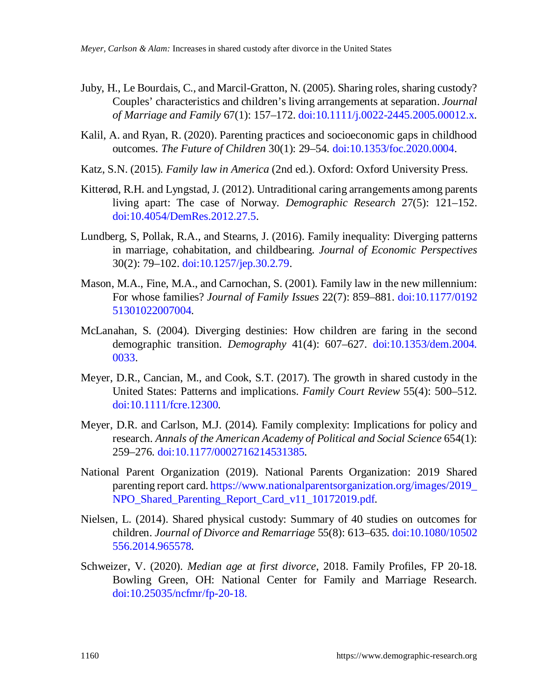- Juby, H., Le Bourdais, C., and Marcil-Gratton, N. (2005). Sharing roles, sharing custody? Couples' characteristics and children's living arrangements at separation. *Journal of Marriage and Family* 67(1): 157–172. [doi:10.1111/j.0022-2445.2005.00012.x.](https://doi.org/10.1111/j.0022-2445.2005.00012.x)
- Kalil, A. and Ryan, R. (2020). Parenting practices and socioeconomic gaps in childhood outcomes. *The Future of Children* 30(1): 29–54. [doi:10.1353/foc.2020.0004.](https://doi.org/10.1353/foc.2020.0004)
- Katz, S.N. (2015). *Family law in America* (2nd ed.). Oxford: Oxford University Press.
- Kitterød, R.H. and Lyngstad, J. (2012). Untraditional caring arrangements among parents living apart: The case of Norway. *Demographic Research* 27(5): 121–152. [doi:10.4054/DemRes.2012.27.5](https://doi.org/10.4054/DemRes.2012.27.5).
- Lundberg, S, Pollak, R.A., and Stearns, J. (2016). Family inequality: Diverging patterns in marriage, cohabitation, and childbearing. *Journal of Economic Perspectives* 30(2): 79–102. [doi:10.1257/jep.30.2.79](https://doi.org/10.1257/jep.30.2.79).
- Mason, M.A., Fine, M.A., and Carnochan, S. (2001). Family law in the new millennium: For whose families? *Journal of Family Issues* 22(7): 859–881. [doi:10.1177/0192](https://doi.org/10.1177/019251301022007004) [51301022007004](https://doi.org/10.1177/019251301022007004).
- McLanahan, S. (2004). Diverging destinies: How children are faring in the second demographic transition. *Demography* 41(4): 607–627. [doi:10.1353/dem.2004.](https://doi.org/10.1353/dem.2004.0033) [0033](https://doi.org/10.1353/dem.2004.0033).
- Meyer, D.R., Cancian, M., and Cook, S.T. (2017). The growth in shared custody in the United States: Patterns and implications. *Family Court Review* 55(4): 500–512. [doi:10.1111/fcre.12300](https://doi.org/10.1111/fcre.12300).
- Meyer, D.R. and Carlson, M.J. (2014). Family complexity: Implications for policy and research. *Annals of the American Academy of Political and Social Science* 654(1): 259–276. [doi:10.1177/0002716214531385.](https://doi.org/10.1177/0002716214531385)
- National Parent Organization (2019). National Parents Organization: 2019 Shared parenting report card. [https://www.nationalparentsorganization.org/images/2019\\_](https://www.nationalparentsorganization.org/images/2019_NPO_Shared_Parenting_Report_Card_v11_10172019.pdf) [NPO\\_Shared\\_Parenting\\_Report\\_Card\\_v11\\_10172019.pdf.](https://www.nationalparentsorganization.org/images/2019_NPO_Shared_Parenting_Report_Card_v11_10172019.pdf)
- Nielsen, L. (2014). Shared physical custody: Summary of 40 studies on outcomes for children. *Journal of Divorce and Remarriage* 55(8): 613–635. [doi:10.1080/10502](https://doi.org/10.1080/10502556.2014.965578) [556.2014.965578](https://doi.org/10.1080/10502556.2014.965578).
- Schweizer, V. (2020). *Median age at first divorce*, 2018. Family Profiles, FP 20-18. Bowling Green, OH: National Center for Family and Marriage Research. [doi:10.25035/ncfmr/fp-20-18.](https://doi.org/10.25035/ncfmr/fp-20-18)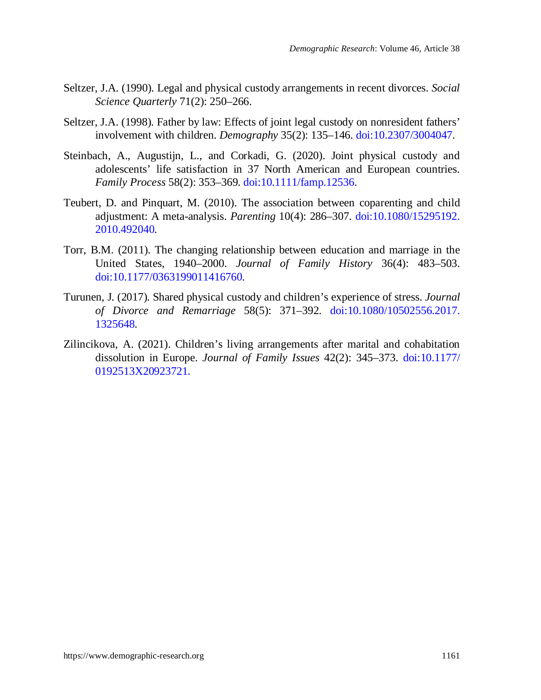- Seltzer, J.A. (1990). Legal and physical custody arrangements in recent divorces. *Social Science Quarterly* 71(2): 250–266.
- Seltzer, J.A. (1998). Father by law: Effects of joint legal custody on nonresident fathers' involvement with children. *Demography* 35(2): 135–146. [doi:10.2307/3004047.](https://doi.org/10.2307/3004047)
- Steinbach, A., Augustijn, L., and Corkadi, G. (2020). Joint physical custody and adolescents' life satisfaction in 37 North American and European countries. *Family Process* 58(2): 353–369. [doi:10.1111/famp.12536.](https://doi.org/10.1111/famp.12536)
- Teubert, D. and Pinquart, M. (2010). The association between coparenting and child adjustment: A meta-analysis. *Parenting* 10(4): 286–307. [doi:10.1080/15295192.](https://doi.org/10.1080/15295192.2010.492040) [2010.492040.](https://doi.org/10.1080/15295192.2010.492040)
- Torr, B.M. (2011). The changing relationship between education and marriage in the United States, 1940–2000. *Journal of Family History* 36(4): 483–503. [doi:10.1177/0363199011416760.](https://doi.org/10.1177/0363199011416760)
- Turunen, J. (2017). Shared physical custody and children's experience of stress. *Journal of Divorce and Remarriage* 58(5): 371–392. [doi:10.1080/10502556.2017.](https://doi.org/10.1080/10502556.2017.1325648) [1325648.](https://doi.org/10.1080/10502556.2017.1325648)
- Zilincikova, A. (2021). Children's living arrangements after marital and cohabitation dissolution in Europe. *Journal of Family Issues* 42(2): 345–373. [doi:10.1177/](https://doi.org/10.1177/0192513X20923721) [0192513X20923721](https://doi.org/10.1177/0192513X20923721).